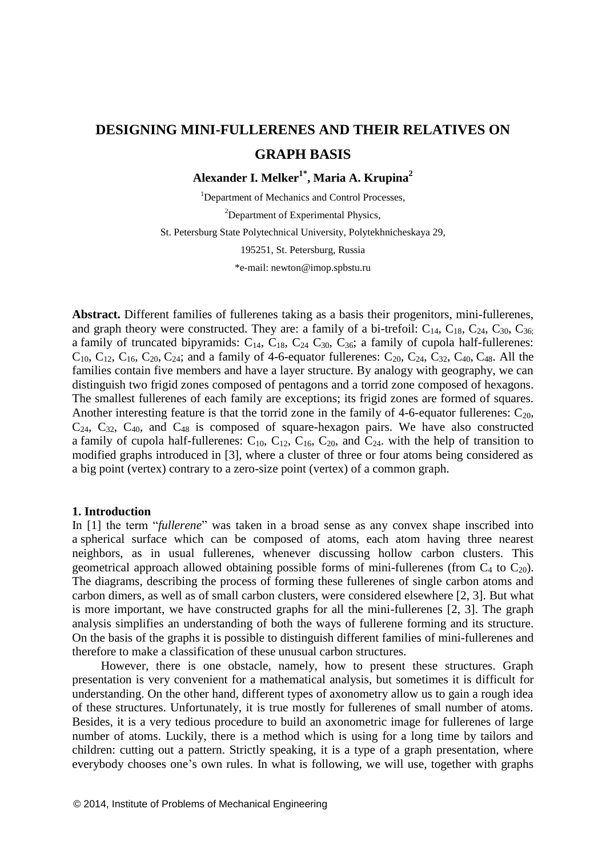# **DESIGNING MINI-FULLERENES AND THEIR RELATIVES ON GRAPH BASIS**

**Alexander I. Melker1\* , Maria A. Krupina<sup>2</sup>**

<sup>1</sup>Department of Mechanics and Control Processes, <sup>2</sup>Department of Experimental Physics, St. Petersburg State Polytechnical University, Polytekhnicheskaya 29, 195251, St. Petersburg, Russia \*e-mail: [newton@imop.spbstu.ru](mailto:newton@imop.spbstu.ru)

**Abstract.** Different families of fullerenes taking as a basis their progenitors, mini-fullerenes, and graph theory were constructed. They are: a family of a bi-trefoil:  $C_{14}$ ,  $C_{18}$ ,  $C_{24}$ ,  $C_{30}$ ,  $C_{36}$ ; a family of truncated bipyramids:  $C_{14}$ ,  $C_{18}$ ,  $C_{24}$ ,  $C_{30}$ ,  $C_{36}$ ; a family of cupola half-fullerenes:  $C_{10}$ ,  $C_{12}$ ,  $C_{16}$ ,  $C_{20}$ ,  $C_{24}$ ; and a family of 4-6-equator fullerenes:  $C_{20}$ ,  $C_{24}$ ,  $C_{32}$ ,  $C_{40}$ ,  $C_{48}$ . All the families contain five members and have a layer structure. By analogy with geography, we can distinguish two frigid zones composed of pentagons and a torrid zone composed of hexagons. The smallest fullerenes of each family are exceptions; its frigid zones are formed of squares. Another interesting feature is that the torrid zone in the family of 4-6-equator fullerenes:  $C_{20}$ ,  $C_{24}$ ,  $C_{32}$ ,  $C_{40}$ , and  $C_{48}$  is composed of square-hexagon pairs. We have also constructed a family of cupola half-fullerenes:  $C_{10}$ ,  $C_{12}$ ,  $C_{16}$ ,  $C_{20}$ , and  $C_{24}$ . with the help of transition to modified graphs introduced in [3], where a cluster of three or four atoms being considered as a big point (vertex) contrary to a zero-size point (vertex) of a common graph.

#### **1. Introduction**

In [1] the term "*fullerene*" was taken in a broad sense as any convex shape inscribed into a spherical surface which can be composed of atoms, each atom having three nearest neighbors, as in usual fullerenes, whenever discussing hollow carbon clusters. This geometrical approach allowed obtaining possible forms of mini-fullerenes (from  $C_4$  to  $C_{20}$ ). The diagrams, describing the process of forming these fullerenes of single carbon atoms and carbon dimers, as well as of small carbon clusters, were considered elsewhere [2, 3]. But what is more important, we have constructed graphs for all the mini-fullerenes [2, 3]. The graph analysis simplifies an understanding of both the ways of fullerene forming and its structure. On the basis of the graphs it is possible to distinguish different families of mini-fullerenes and therefore to make a classification of these unusual carbon structures.

However, there is one obstacle, namely, how to present these structures. Graph presentation is very convenient for a mathematical analysis, but sometimes it is difficult for understanding. On the other hand, different types of axonometry allow us to gain a rough idea of these structures. Unfortunately, it is true mostly for fullerenes of small number of atoms. Besides, it is a very tedious procedure to build an axonometric image for fullerenes of large number of atoms. Luckily, there is a method which is using for a long time by tailors and children: cutting out a pattern. Strictly speaking, it is a type of a graph presentation, where everybody chooses one's own rules. In what is following, we will use, together with graphs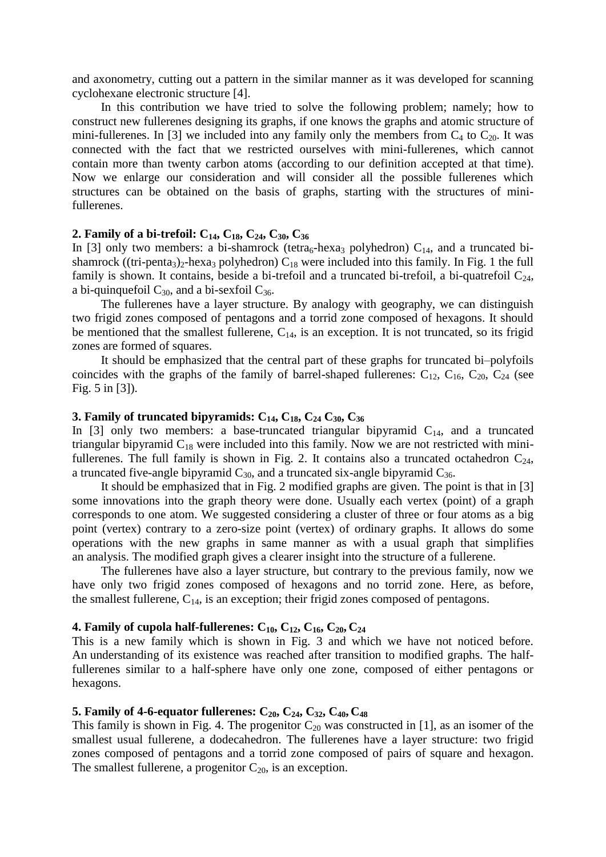and axonometry, cutting out a pattern in the similar manner as it was developed for scanning cyclohexane electronic structure [4].

In this contribution we have tried to solve the following problem; namely; how to construct new fullerenes designing its graphs, if one knows the graphs and atomic structure of mini-fullerenes. In [3] we included into any family only the members from  $C_4$  to  $C_{20}$ . It was connected with the fact that we restricted ourselves with mini-fullerenes, which cannot contain more than twenty carbon atoms (according to our definition accepted at that time). Now we enlarge our consideration and will consider all the possible fullerenes which structures can be obtained on the basis of graphs, starting with the structures of minifullerenes.

### **2. Family of a bi-trefoil: C14, C18, C24, C30, C<sup>36</sup>**

In [3] only two members: a bi-shamrock (tetra<sub>6</sub>-hexa<sub>3</sub> polyhedron)  $C_{14}$ , and a truncated bishamrock ((tri-penta<sub>3</sub>)<sub>2</sub>-hexa<sub>3</sub> polyhedron) C<sub>18</sub> were included into this family. In Fig. 1 the full family is shown. It contains, beside a bi-trefoil and a truncated bi-trefoil, a bi-quatrefoil  $C_{24}$ , a bi-quinquefoil  $C_{30}$ , and a bi-sexfoil  $C_{36}$ .

The fullerenes have a layer structure. By analogy with geography, we can distinguish two frigid zones composed of pentagons and a torrid zone composed of hexagons. It should be mentioned that the smallest fullerene,  $C_{14}$ , is an exception. It is not truncated, so its frigid zones are formed of squares.

It should be emphasized that the central part of these graphs for truncated bi–polyfoils coincides with the graphs of the family of barrel-shaped fullerenes:  $C_{12}$ ,  $C_{16}$ ,  $C_{20}$ ,  $C_{24}$  (see Fig. 5 in [3]).

# **3. Family of truncated bipyramids:**  $C_{14}$ ,  $C_{18}$ ,  $C_{24}$   $C_{30}$ ,  $C_{36}$

In [3] only two members: a base-truncated triangular bipyramid  $C_{14}$ , and a truncated triangular bipyramid  $C_{18}$  were included into this family. Now we are not restricted with minifullerenes. The full family is shown in Fig. 2. It contains also a truncated octahedron  $C_{24}$ , a truncated five-angle bipyramid  $C_{30}$ , and a truncated six-angle bipyramid  $C_{36}$ .

It should be emphasized that in Fig. 2 modified graphs are given. The point is that in [3] some innovations into the graph theory were done. Usually each vertex (point) of a graph corresponds to one atom. We suggested considering a cluster of three or four atoms as a big point (vertex) contrary to a zero-size point (vertex) of ordinary graphs. It allows do some operations with the new graphs in same manner as with a usual graph that simplifies an analysis. The modified graph gives a clearer insight into the structure of a fullerene.

The fullerenes have also a layer structure, but contrary to the previous family, now we have only two frigid zones composed of hexagons and no torrid zone. Here, as before, the smallest fullerene,  $C_{14}$ , is an exception; their frigid zones composed of pentagons.

### **4. Family of cupola half-fullerenes:**  $C_{10}$ ,  $C_{12}$ ,  $C_{16}$ ,  $C_{20}$ ,  $C_{24}$

This is a new family which is shown in Fig. 3 and which we have not noticed before. An understanding of its existence was reached after transition to modified graphs. The halffullerenes similar to a half-sphere have only one zone, composed of either pentagons or hexagons.

# **5. Family of 4-6-equator fullerenes:**  $C_{20}$ ,  $C_{24}$ ,  $C_{32}$ ,  $C_{40}$ ,  $C_{48}$

This family is shown in Fig. 4. The progenitor  $C_{20}$  was constructed in [1], as an isomer of the smallest usual fullerene, a dodecahedron. The fullerenes have a layer structure: two frigid zones composed of pentagons and a torrid zone composed of pairs of square and hexagon. The smallest fullerene, a progenitor  $C_{20}$ , is an exception.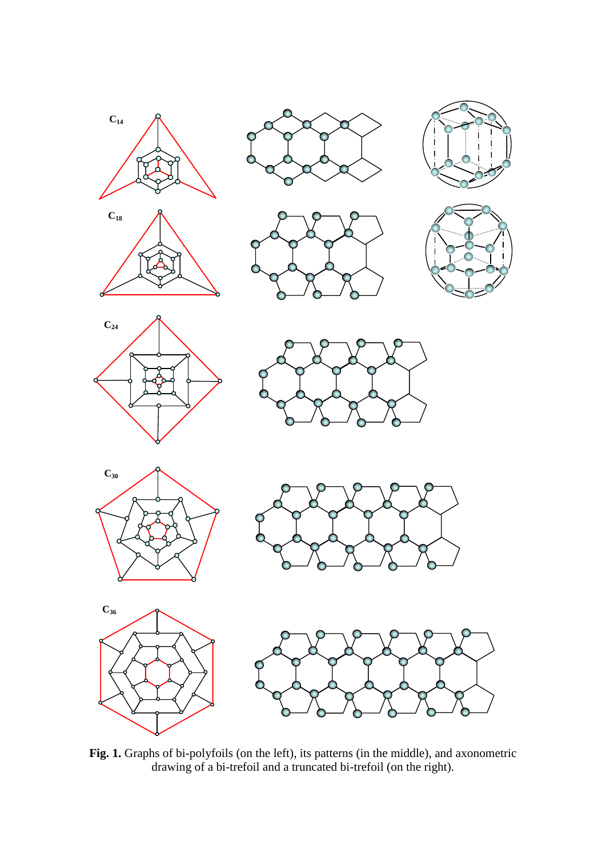





















**Fig. 1.** Graphs of bi-polyfoils (on the left), its patterns (in the middle), and axonometric drawing of a bi-trefoil and a truncated bi-trefoil (on the right).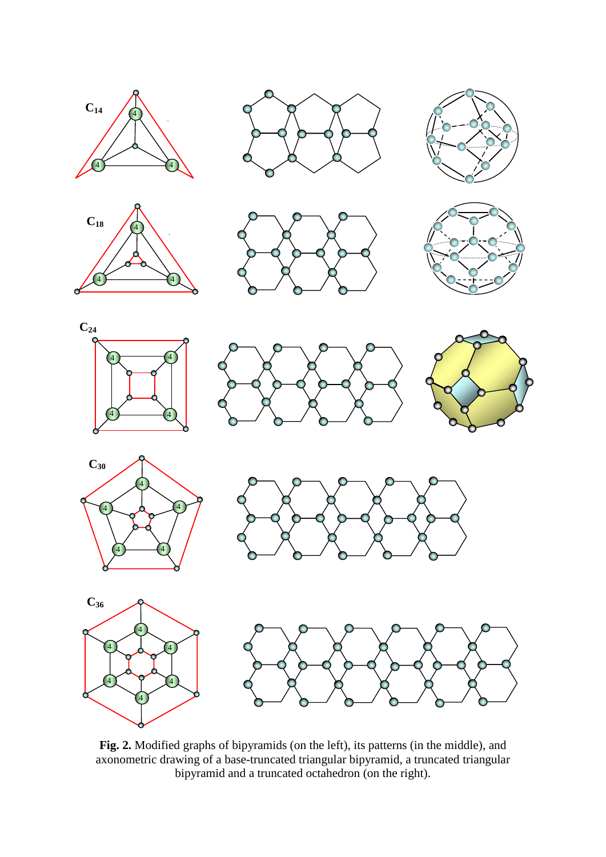























**Fig. 2.** Modified graphs of bipyramids (on the left), its patterns (in the middle), and axonometric drawing of a base-truncated triangular bipyramid, a truncated triangular bipyramid and a truncated octahedron (on the right).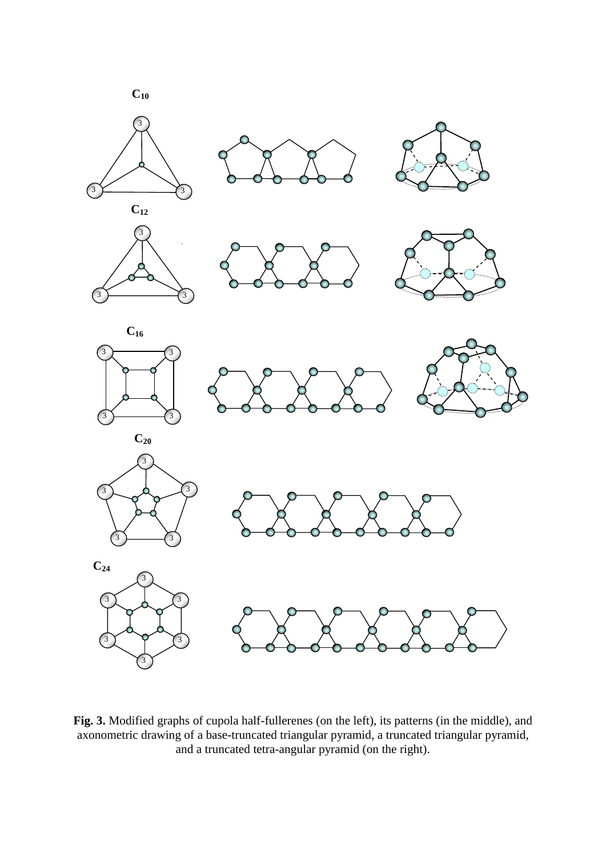

**Fig. 3.** Modified graphs of cupola half-fullerenes (on the left), its patterns (in the middle), and axonometric drawing of a base-truncated triangular pyramid, a truncated triangular pyramid, and a truncated tetra-angular pyramid (on the right).

3

3) Y 73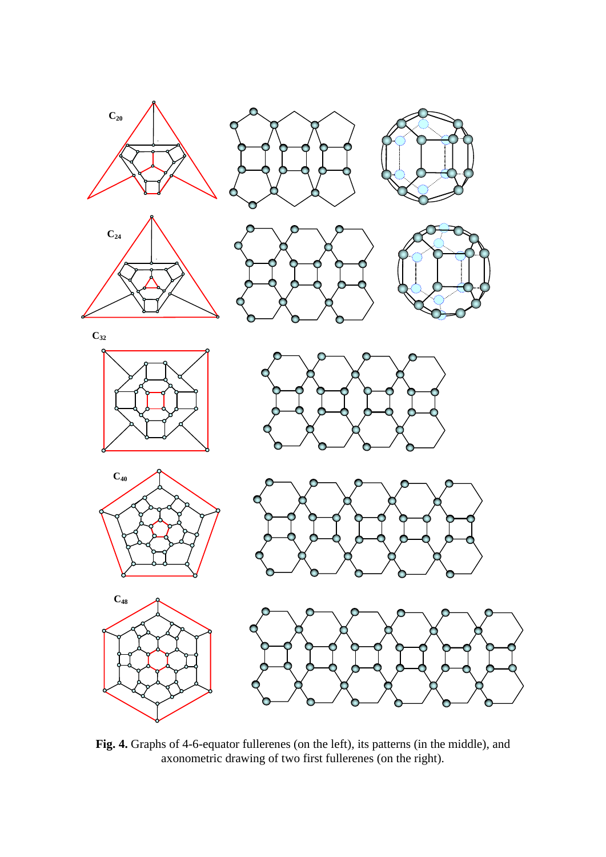









**C<sup>32</sup>**



**C<sup>40</sup>**







**Fig. 4.** Graphs of 4-6-equator fullerenes (on the left), its patterns (in the middle), and axonometric drawing of two first fullerenes (on the right).